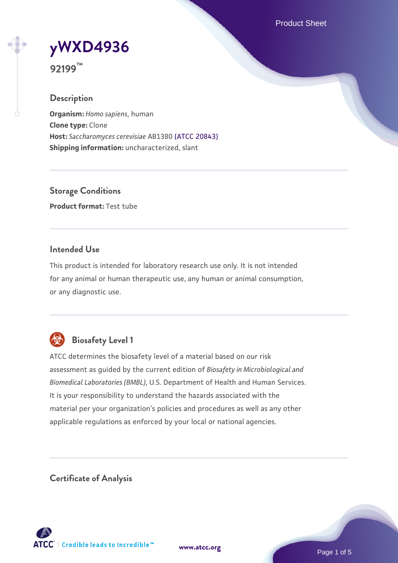Product Sheet

# **[yWXD4936](https://www.atcc.org/products/92199)**

**92199™**

# **Description**

**Organism:** *Homo sapiens*, human **Clone type:** Clone **Host:** *Saccharomyces cerevisiae* AB1380 [\(ATCC 20843\)](https://www.atcc.org/products/20843) **Shipping information:** uncharacterized, slant

**Storage Conditions Product format:** Test tube

# **Intended Use**

This product is intended for laboratory research use only. It is not intended for any animal or human therapeutic use, any human or animal consumption, or any diagnostic use.



# **Biosafety Level 1**

ATCC determines the biosafety level of a material based on our risk assessment as guided by the current edition of *Biosafety in Microbiological and Biomedical Laboratories (BMBL)*, U.S. Department of Health and Human Services. It is your responsibility to understand the hazards associated with the material per your organization's policies and procedures as well as any other applicable regulations as enforced by your local or national agencies.

**Certificate of Analysis**

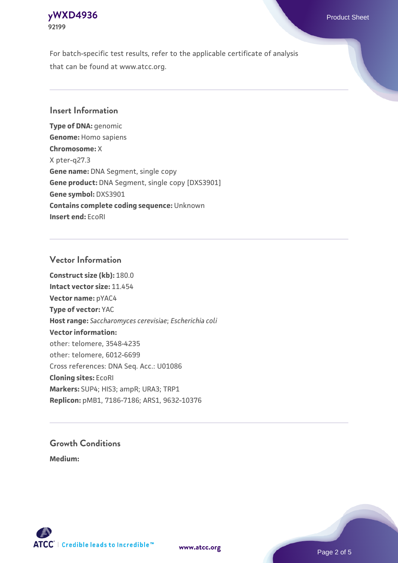## **[yWXD4936](https://www.atcc.org/products/92199)** Product Sheet **92199**

For batch-specific test results, refer to the applicable certificate of analysis that can be found at www.atcc.org.

# **Insert Information**

**Type of DNA:** genomic **Genome:** Homo sapiens **Chromosome:** X X pter-q27.3 **Gene name:** DNA Segment, single copy **Gene product:** DNA Segment, single copy [DXS3901] **Gene symbol:** DXS3901 **Contains complete coding sequence:** Unknown **Insert end:** EcoRI

#### **Vector Information**

**Construct size (kb):** 180.0 **Intact vector size:** 11.454 **Vector name:** pYAC4 **Type of vector:** YAC **Host range:** *Saccharomyces cerevisiae*; *Escherichia coli* **Vector information:** other: telomere, 3548-4235 other: telomere, 6012-6699 Cross references: DNA Seq. Acc.: U01086 **Cloning sites:** EcoRI **Markers:** SUP4; HIS3; ampR; URA3; TRP1 **Replicon:** pMB1, 7186-7186; ARS1, 9632-10376

# **Growth Conditions**

**Medium:** 



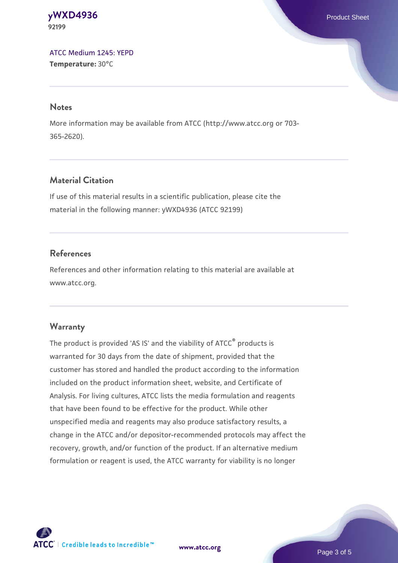#### **[yWXD4936](https://www.atcc.org/products/92199)** Product Sheet **92199**

[ATCC Medium 1245: YEPD](https://www.atcc.org/-/media/product-assets/documents/microbial-media-formulations/1/2/4/5/atcc-medium-1245.pdf?rev=705ca55d1b6f490a808a965d5c072196) **Temperature:** 30°C

#### **Notes**

More information may be available from ATCC (http://www.atcc.org or 703- 365-2620).

# **Material Citation**

If use of this material results in a scientific publication, please cite the material in the following manner: yWXD4936 (ATCC 92199)

# **References**

References and other information relating to this material are available at www.atcc.org.

### **Warranty**

The product is provided 'AS IS' and the viability of ATCC® products is warranted for 30 days from the date of shipment, provided that the customer has stored and handled the product according to the information included on the product information sheet, website, and Certificate of Analysis. For living cultures, ATCC lists the media formulation and reagents that have been found to be effective for the product. While other unspecified media and reagents may also produce satisfactory results, a change in the ATCC and/or depositor-recommended protocols may affect the recovery, growth, and/or function of the product. If an alternative medium formulation or reagent is used, the ATCC warranty for viability is no longer



**[www.atcc.org](http://www.atcc.org)**

Page 3 of 5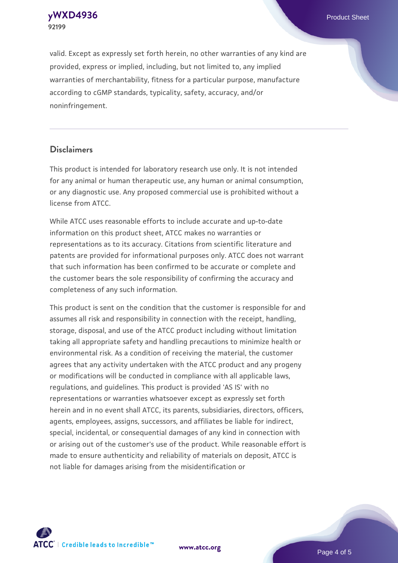**[yWXD4936](https://www.atcc.org/products/92199)** Product Sheet **92199**

valid. Except as expressly set forth herein, no other warranties of any kind are provided, express or implied, including, but not limited to, any implied warranties of merchantability, fitness for a particular purpose, manufacture according to cGMP standards, typicality, safety, accuracy, and/or noninfringement.

#### **Disclaimers**

This product is intended for laboratory research use only. It is not intended for any animal or human therapeutic use, any human or animal consumption, or any diagnostic use. Any proposed commercial use is prohibited without a license from ATCC.

While ATCC uses reasonable efforts to include accurate and up-to-date information on this product sheet, ATCC makes no warranties or representations as to its accuracy. Citations from scientific literature and patents are provided for informational purposes only. ATCC does not warrant that such information has been confirmed to be accurate or complete and the customer bears the sole responsibility of confirming the accuracy and completeness of any such information.

This product is sent on the condition that the customer is responsible for and assumes all risk and responsibility in connection with the receipt, handling, storage, disposal, and use of the ATCC product including without limitation taking all appropriate safety and handling precautions to minimize health or environmental risk. As a condition of receiving the material, the customer agrees that any activity undertaken with the ATCC product and any progeny or modifications will be conducted in compliance with all applicable laws, regulations, and guidelines. This product is provided 'AS IS' with no representations or warranties whatsoever except as expressly set forth herein and in no event shall ATCC, its parents, subsidiaries, directors, officers, agents, employees, assigns, successors, and affiliates be liable for indirect, special, incidental, or consequential damages of any kind in connection with or arising out of the customer's use of the product. While reasonable effort is made to ensure authenticity and reliability of materials on deposit, ATCC is not liable for damages arising from the misidentification or



**[www.atcc.org](http://www.atcc.org)**

Page 4 of 5